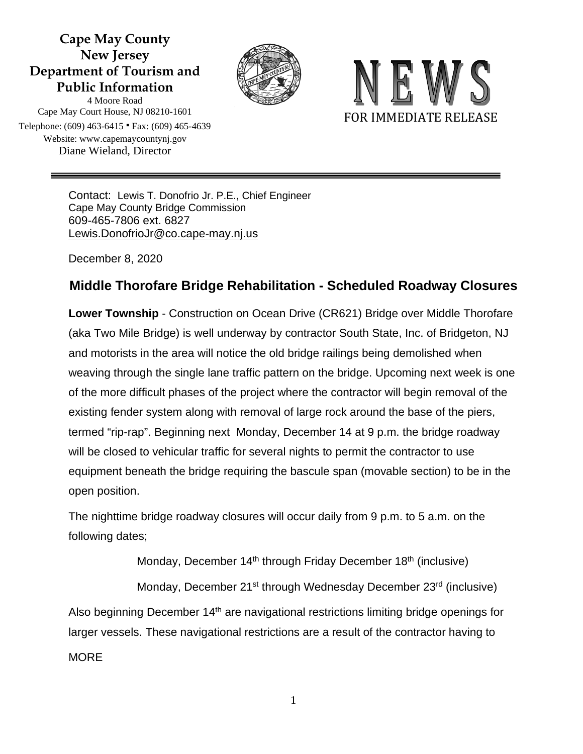## **Cape May County New Jersey Department of Tourism and Public Information**





4 Moore Road Cape May Court House, NJ 08210-1601 Telephone: (609) 463-6415 ∙ Fax: (609) 465-4639 Website: www.capemaycountynj.gov Diane Wieland, Director

> Contact: Lewis T. Donofrio Jr. P.E., Chief Engineer Cape May County Bridge Commission 609-465-7806 ext. 6827 [Lewis.DonofrioJr@co.cape-may.nj.us](mailto:Lewis.DonofrioJr@co.cape-may.nj.us)

December 8, 2020

## **Middle Thorofare Bridge Rehabilitation - Scheduled Roadway Closures**

**Lower Township** - Construction on Ocean Drive (CR621) Bridge over Middle Thorofare (aka Two Mile Bridge) is well underway by contractor South State, Inc. of Bridgeton, NJ and motorists in the area will notice the old bridge railings being demolished when weaving through the single lane traffic pattern on the bridge. Upcoming next week is one of the more difficult phases of the project where the contractor will begin removal of the existing fender system along with removal of large rock around the base of the piers, termed "rip-rap". Beginning next Monday, December 14 at 9 p.m. the bridge roadway will be closed to vehicular traffic for several nights to permit the contractor to use equipment beneath the bridge requiring the bascule span (movable section) to be in the open position.

The nighttime bridge roadway closures will occur daily from 9 p.m. to 5 a.m. on the following dates;

Monday, December  $14<sup>th</sup>$  through Friday December  $18<sup>th</sup>$  (inclusive)

Monday, December 21<sup>st</sup> through Wednesday December 23<sup>rd</sup> (inclusive) Also beginning December 14<sup>th</sup> are navigational restrictions limiting bridge openings for larger vessels. These navigational restrictions are a result of the contractor having to **MORE** 

1